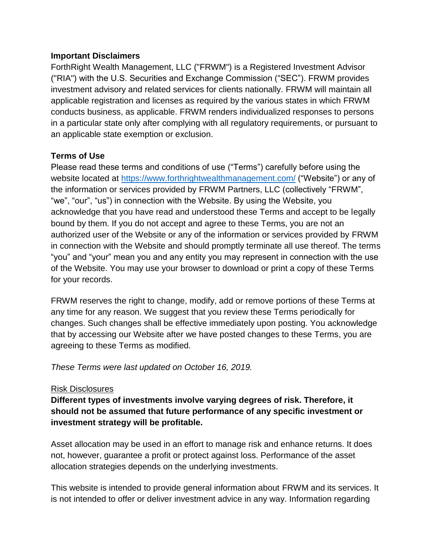#### **Important Disclaimers**

ForthRight Wealth Management, LLC ("FRWM") is a Registered Investment Advisor ("RIA") with the U.S. Securities and Exchange Commission ("SEC"). FRWM provides investment advisory and related services for clients nationally. FRWM will maintain all applicable registration and licenses as required by the various states in which FRWM conducts business, as applicable. FRWM renders individualized responses to persons in a particular state only after complying with all regulatory requirements, or pursuant to an applicable state exemption or exclusion.

## **Terms of Use**

Please read these terms and conditions of use ("Terms") carefully before using the website located at<https://www.forthrightwealthmanagement.com/> ("Website") or any of the information or services provided by FRWM Partners, LLC (collectively "FRWM", "we", "our", "us") in connection with the Website. By using the Website, you acknowledge that you have read and understood these Terms and accept to be legally bound by them. If you do not accept and agree to these Terms, you are not an authorized user of the Website or any of the information or services provided by FRWM in connection with the Website and should promptly terminate all use thereof. The terms "you" and "your" mean you and any entity you may represent in connection with the use of the Website. You may use your browser to download or print a copy of these Terms for your records.

FRWM reserves the right to change, modify, add or remove portions of these Terms at any time for any reason. We suggest that you review these Terms periodically for changes. Such changes shall be effective immediately upon posting. You acknowledge that by accessing our Website after we have posted changes to these Terms, you are agreeing to these Terms as modified.

*These Terms were last updated on October 16, 2019.*

## Risk Disclosures

**Different types of investments involve varying degrees of risk. Therefore, it should not be assumed that future performance of any specific investment or investment strategy will be profitable.** 

Asset allocation may be used in an effort to manage risk and enhance returns. It does not, however, guarantee a profit or protect against loss. Performance of the asset allocation strategies depends on the underlying investments.

This website is intended to provide general information about FRWM and its services. It is not intended to offer or deliver investment advice in any way. Information regarding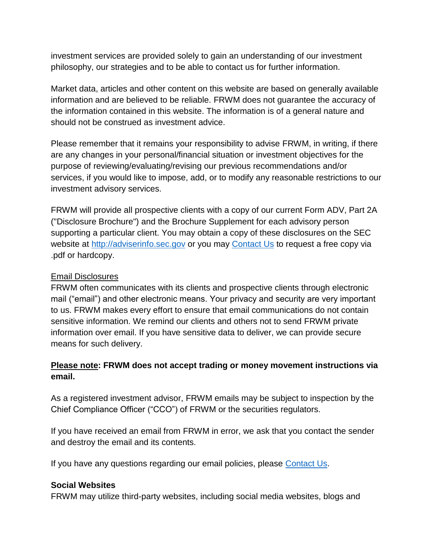investment services are provided solely to gain an understanding of our investment philosophy, our strategies and to be able to contact us for further information.

Market data, articles and other content on this website are based on generally available information and are believed to be reliable. FRWM does not guarantee the accuracy of the information contained in this website. The information is of a general nature and should not be construed as investment advice.

Please remember that it remains your responsibility to advise FRWM, in writing, if there are any changes in your personal/financial situation or investment objectives for the purpose of reviewing/evaluating/revising our previous recommendations and/or services, if you would like to impose, add, or to modify any reasonable restrictions to our investment advisory services.

FRWM will provide all prospective clients with a copy of our current Form ADV, Part 2A ("Disclosure Brochure") and the Brochure Supplement for each advisory person supporting a particular client. You may obtain a copy of these disclosures on the SEC website at [http://adviserinfo.sec.gov](http://adviserinfo.sec.gov/) or you may [Contact Us](https://www.forthrightwealthmanagement.com/contact) to request a free copy via .pdf or hardcopy.

#### Email Disclosures

FRWM often communicates with its clients and prospective clients through electronic mail ("email") and other electronic means. Your privacy and security are very important to us. FRWM makes every effort to ensure that email communications do not contain sensitive information. We remind our clients and others not to send FRWM private information over email. If you have sensitive data to deliver, we can provide secure means for such delivery.

# **Please note: FRWM does not accept trading or money movement instructions via email.**

As a registered investment advisor, FRWM emails may be subject to inspection by the Chief Compliance Officer ("CCO") of FRWM or the securities regulators.

If you have received an email from FRWM in error, we ask that you contact the sender and destroy the email and its contents.

If you have any questions regarding our email policies, please [Contact Us.](https://www.forthrightwealthmanagement.com/contact)

#### **Social Websites**

FRWM may utilize third-party websites, including social media websites, blogs and